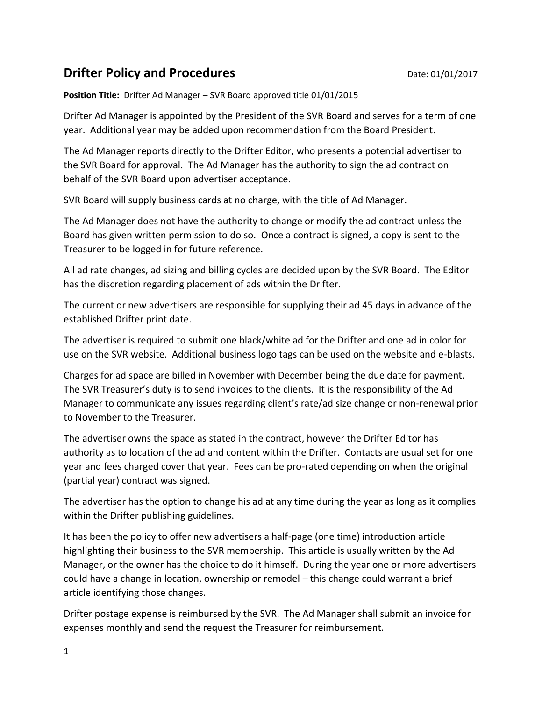## **Drifter Policy and Procedures Drifter Policy and Procedures Date: 01/01/2017**

**Position Title:** Drifter Ad Manager – SVR Board approved title 01/01/2015

Drifter Ad Manager is appointed by the President of the SVR Board and serves for a term of one year. Additional year may be added upon recommendation from the Board President.

The Ad Manager reports directly to the Drifter Editor, who presents a potential advertiser to the SVR Board for approval. The Ad Manager has the authority to sign the ad contract on behalf of the SVR Board upon advertiser acceptance.

SVR Board will supply business cards at no charge, with the title of Ad Manager.

The Ad Manager does not have the authority to change or modify the ad contract unless the Board has given written permission to do so. Once a contract is signed, a copy is sent to the Treasurer to be logged in for future reference.

All ad rate changes, ad sizing and billing cycles are decided upon by the SVR Board. The Editor has the discretion regarding placement of ads within the Drifter.

The current or new advertisers are responsible for supplying their ad 45 days in advance of the established Drifter print date.

The advertiser is required to submit one black/white ad for the Drifter and one ad in color for use on the SVR website. Additional business logo tags can be used on the website and e-blasts.

Charges for ad space are billed in November with December being the due date for payment. The SVR Treasurer's duty is to send invoices to the clients. It is the responsibility of the Ad Manager to communicate any issues regarding client's rate/ad size change or non-renewal prior to November to the Treasurer.

The advertiser owns the space as stated in the contract, however the Drifter Editor has authority as to location of the ad and content within the Drifter. Contacts are usual set for one year and fees charged cover that year. Fees can be pro-rated depending on when the original (partial year) contract was signed.

The advertiser has the option to change his ad at any time during the year as long as it complies within the Drifter publishing guidelines.

It has been the policy to offer new advertisers a half-page (one time) introduction article highlighting their business to the SVR membership. This article is usually written by the Ad Manager, or the owner has the choice to do it himself. During the year one or more advertisers could have a change in location, ownership or remodel – this change could warrant a brief article identifying those changes.

Drifter postage expense is reimbursed by the SVR. The Ad Manager shall submit an invoice for expenses monthly and send the request the Treasurer for reimbursement.